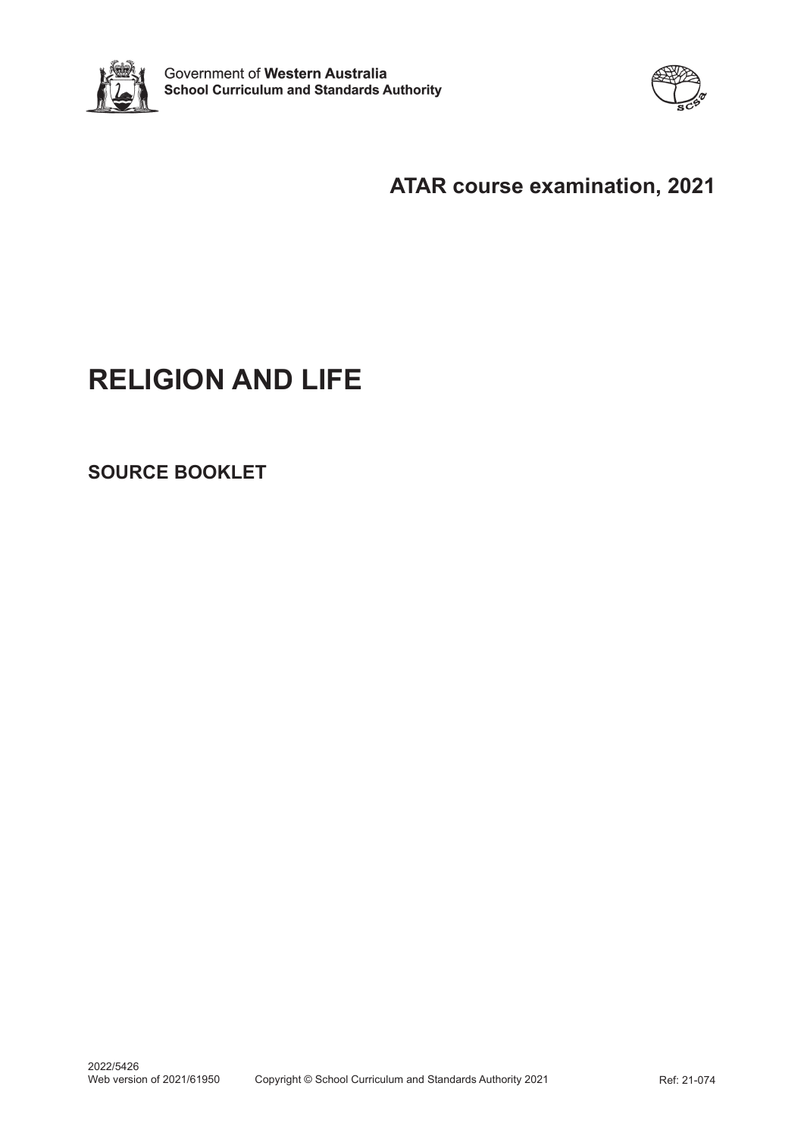



# **ATAR course examination, 2021**

# **RELIGION AND LIFE**

**SOURCE BOOKLET**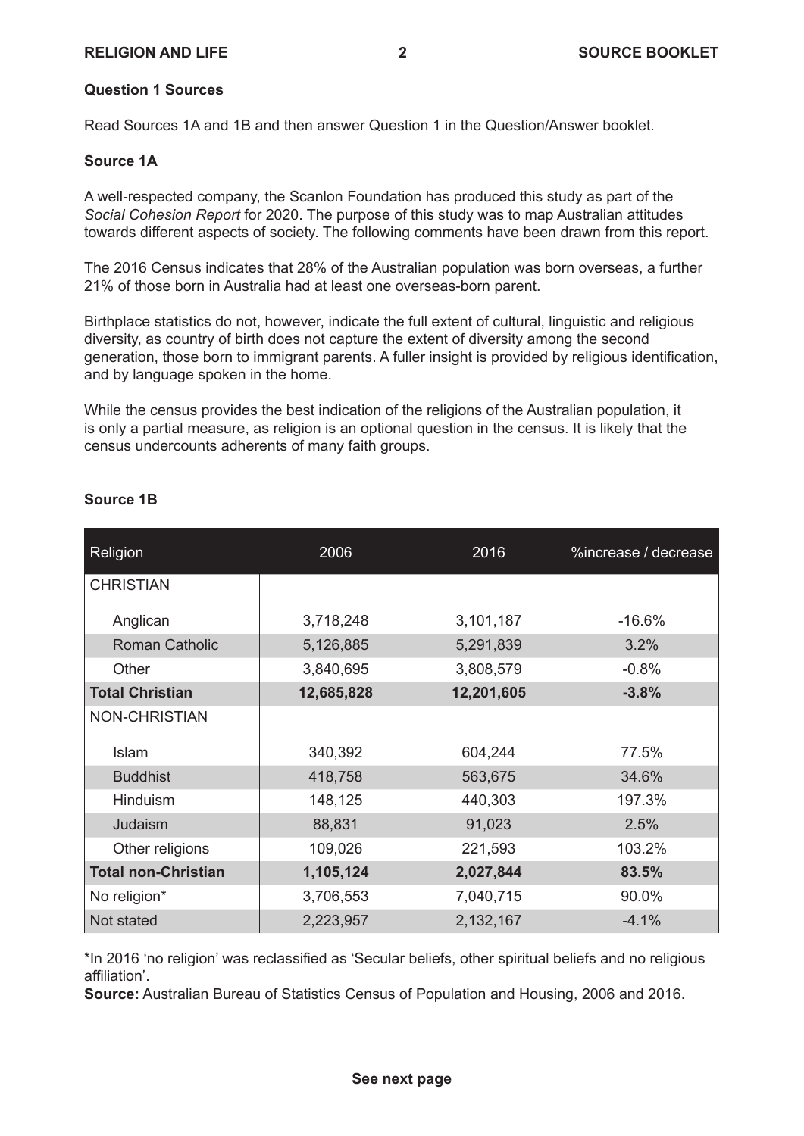# **RELIGION AND LIFE 2 SOURCE BOOKLET**

#### **Question 1 Sources**

Read Sources 1A and 1B and then answer Question 1 in the Question/Answer booklet.

# **Source 1A**

A well-respected company, the Scanlon Foundation has produced this study as part of the *Social Cohesion Report* for 2020. The purpose of this study was to map Australian attitudes towards different aspects of society. The following comments have been drawn from this report.

The 2016 Census indicates that 28% of the Australian population was born overseas, a further 21% of those born in Australia had at least one overseas-born parent.

Birthplace statistics do not, however, indicate the full extent of cultural, linguistic and religious diversity, as country of birth does not capture the extent of diversity among the second generation, those born to immigrant parents. A fuller insight is provided by religious identification, and by language spoken in the home.

While the census provides the best indication of the religions of the Australian population, it is only a partial measure, as religion is an optional question in the census. It is likely that the census undercounts adherents of many faith groups.

| Religion                   | 2006       | 2016       | %increase / decrease |
|----------------------------|------------|------------|----------------------|
| <b>CHRISTIAN</b>           |            |            |                      |
| Anglican                   | 3,718,248  | 3,101,187  | $-16.6%$             |
| <b>Roman Catholic</b>      | 5,126,885  | 5,291,839  | 3.2%                 |
| Other                      | 3,840,695  | 3,808,579  | $-0.8%$              |
| <b>Total Christian</b>     | 12,685,828 | 12,201,605 | $-3.8%$              |
| NON-CHRISTIAN              |            |            |                      |
| <b>Islam</b>               | 340,392    | 604,244    | 77.5%                |
| <b>Buddhist</b>            | 418,758    | 563,675    | 34.6%                |
| <b>Hinduism</b>            | 148,125    | 440,303    | 197.3%               |
| Judaism                    | 88,831     | 91,023     | 2.5%                 |
| Other religions            | 109,026    | 221,593    | 103.2%               |
| <b>Total non-Christian</b> | 1,105,124  | 2,027,844  | 83.5%                |
| No religion*               | 3,706,553  | 7,040,715  | 90.0%                |
| Not stated                 | 2,223,957  | 2,132,167  | $-4.1%$              |

# **Source 1B**

\*In 2016 'no religion' was reclassified as 'Secular beliefs, other spiritual beliefs and no religious affiliation'.

**Source:** Australian Bureau of Statistics Census of Population and Housing, 2006 and 2016.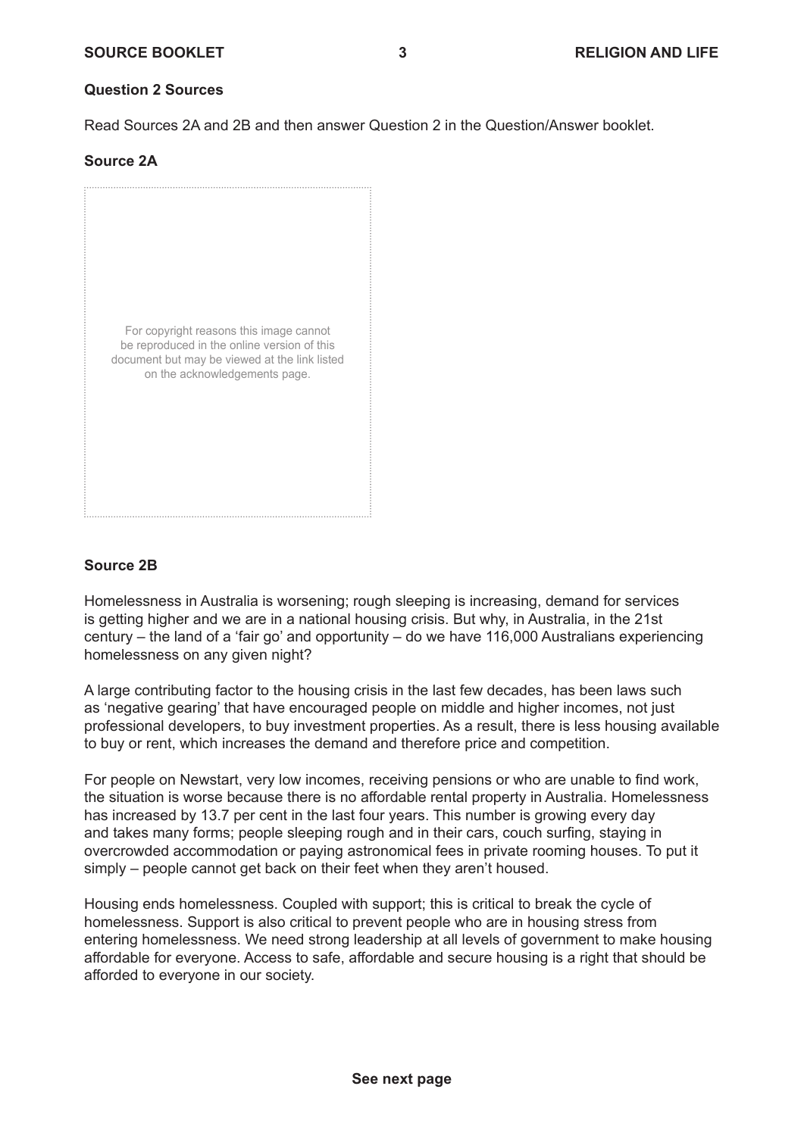## **Question 2 Sources**

Read Sources 2A and 2B and then answer Question 2 in the Question/Answer booklet.

#### **Source 2A**



#### **Source 2B**

Homelessness in Australia is worsening; rough sleeping is increasing, demand for services is getting higher and we are in a national housing crisis. But why, in Australia, in the 21st century – the land of a 'fair go' and opportunity – do we have 116,000 Australians experiencing homelessness on any given night?

A large contributing factor to the housing crisis in the last few decades, has been laws such as 'negative gearing' that have encouraged people on middle and higher incomes, not just professional developers, to buy investment properties. As a result, there is less housing available to buy or rent, which increases the demand and therefore price and competition.

For people on Newstart, very low incomes, receiving pensions or who are unable to find work, the situation is worse because there is no affordable rental property in Australia. Homelessness has increased by 13.7 per cent in the last four years. This number is growing every day and takes many forms; people sleeping rough and in their cars, couch surfing, staying in overcrowded accommodation or paying astronomical fees in private rooming houses. To put it simply – people cannot get back on their feet when they aren't housed.

Housing ends homelessness. Coupled with support; this is critical to break the cycle of homelessness. Support is also critical to prevent people who are in housing stress from entering homelessness. We need strong leadership at all levels of government to make housing affordable for everyone. Access to safe, affordable and secure housing is a right that should be afforded to everyone in our society.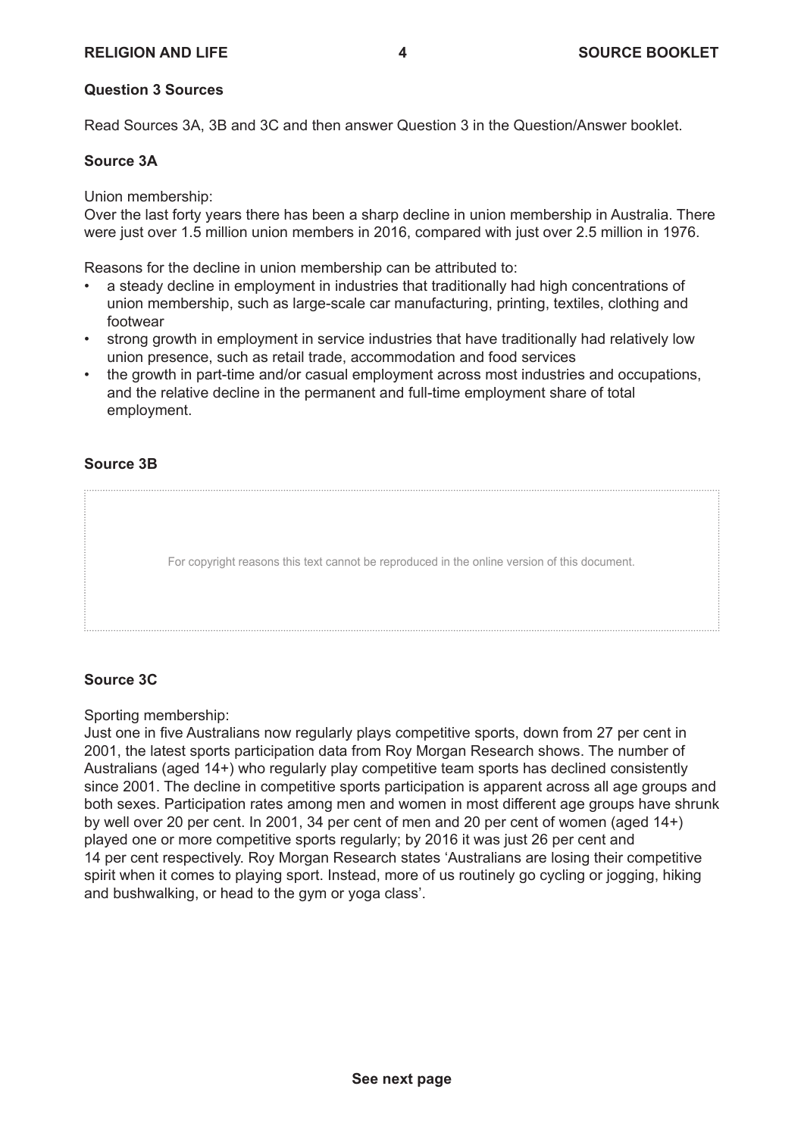# **RELIGION AND LIFE 4 SOURCE BOOKLET**

#### **Question 3 Sources**

Read Sources 3A, 3B and 3C and then answer Question 3 in the Question/Answer booklet.

#### **Source 3A**

Union membership:

Over the last forty years there has been a sharp decline in union membership in Australia. There were just over 1.5 million union members in 2016, compared with just over 2.5 million in 1976.

Reasons for the decline in union membership can be attributed to:

- a steady decline in employment in industries that traditionally had high concentrations of union membership, such as large-scale car manufacturing, printing, textiles, clothing and footwear
- strong growth in employment in service industries that have traditionally had relatively low union presence, such as retail trade, accommodation and food services
- the growth in part-time and/or casual employment across most industries and occupations, and the relative decline in the permanent and full-time employment share of total employment.

#### **Source 3B**

For copyright reasons this text cannot be reproduced in the online version of this document.

#### **Source 3C**

Sporting membership:

Just one in five Australians now regularly plays competitive sports, down from 27 per cent in 2001, the latest sports participation data from Roy Morgan Research shows. The number of Australians (aged 14+) who regularly play competitive team sports has declined consistently since 2001. The decline in competitive sports participation is apparent across all age groups and both sexes. Participation rates among men and women in most different age groups have shrunk by well over 20 per cent. In 2001, 34 per cent of men and 20 per cent of women (aged 14+) played one or more competitive sports regularly; by 2016 it was just 26 per cent and 14 per cent respectively. Roy Morgan Research states 'Australians are losing their competitive spirit when it comes to playing sport. Instead, more of us routinely go cycling or jogging, hiking and bushwalking, or head to the gym or yoga class'.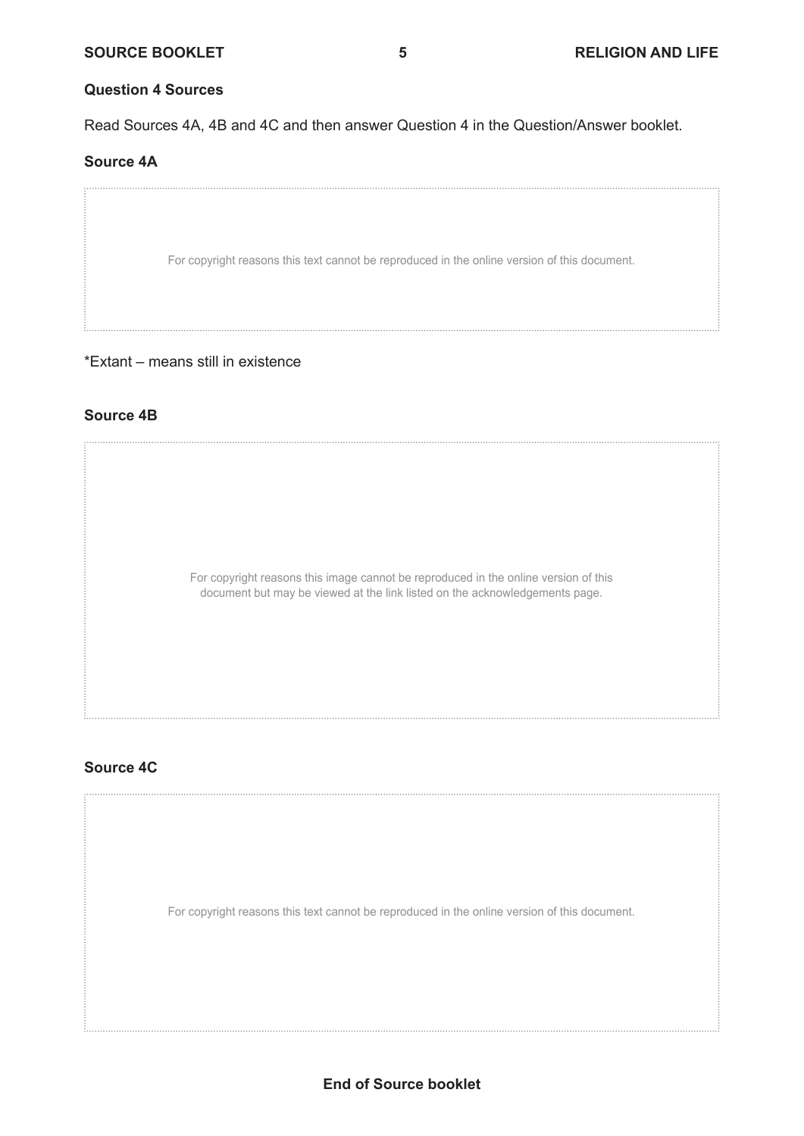#### **Question 4 Sources**

Read Sources 4A, 4B and 4C and then answer Question 4 in the Question/Answer booklet.

#### **Source 4A**

For copyright reasons this text cannot be reproduced in the online version of this document.

\*Extant – means still in existence

# **Source 4B**

For copyright reasons this image cannot be reproduced in the online version of this document but may be viewed at the link listed on the acknowledgements page.

# **Source 4C**

For copyright reasons this text cannot be reproduced in the online version of this document.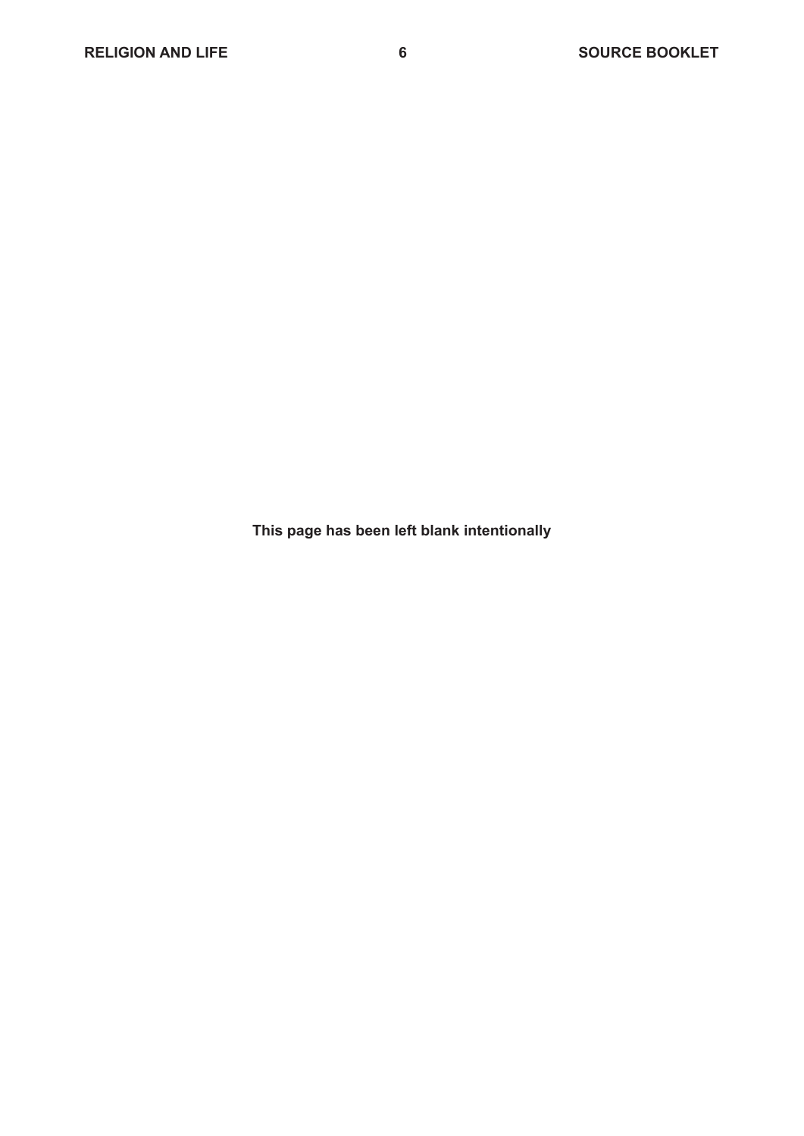**This page has been left blank intentionally**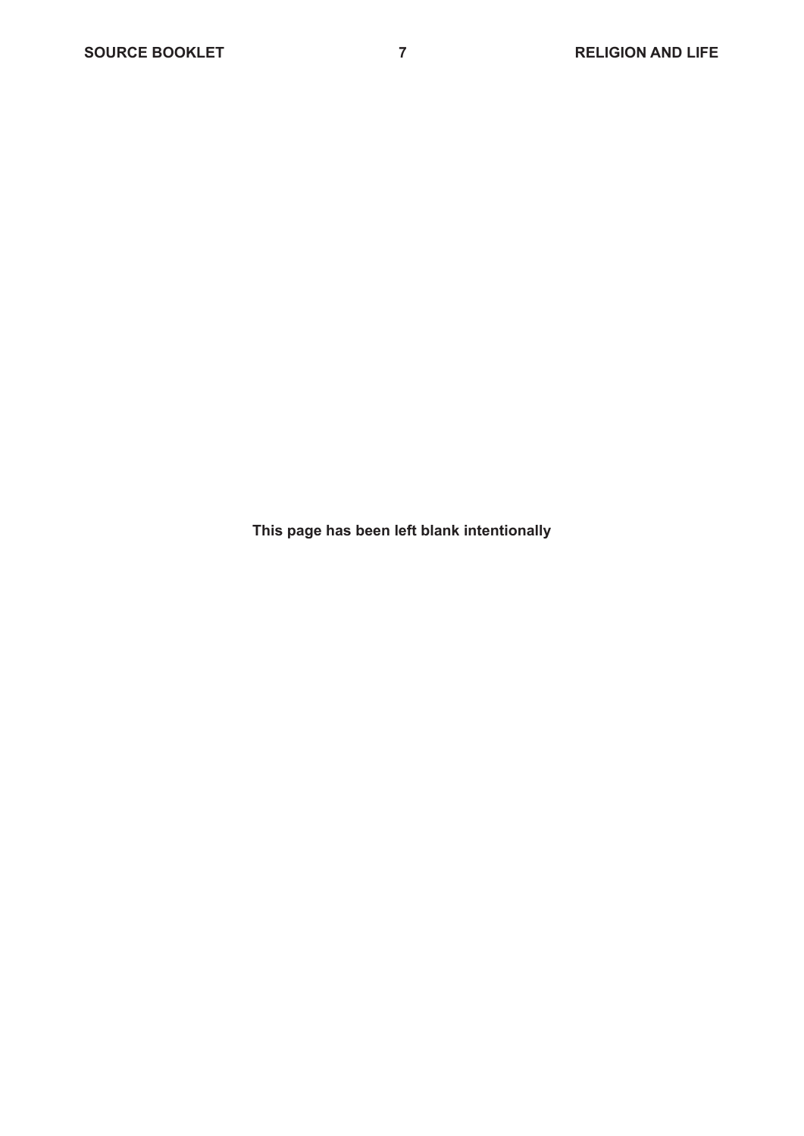**This page has been left blank intentionally**